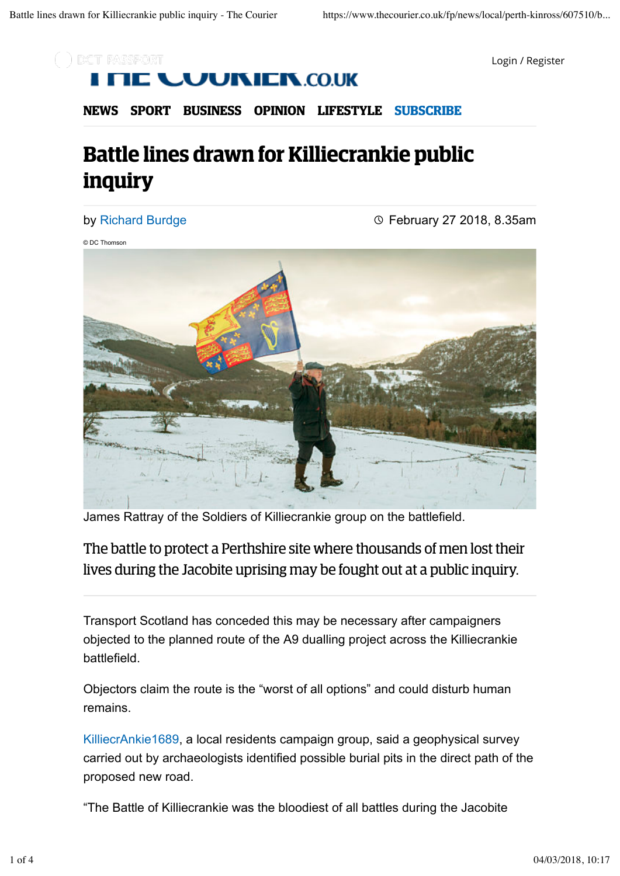

Login / Register

# **JIXIEIX.CO.UK**

**NEWS SPORT BUSINESS OPINION LIFESTYLE SUBSCRIBE**

# **Battle lines drawn for Killiecrankie public inquiry**

### by Richard Burdge

February 27 2018, 8.35am

© DC Thomson



James Rattray of the Soldiers of Killiecrankie group on the battlefield.

The battle to protect a Perthshire site where thousands of men lost their lives during the Jacobite uprising may be fought out at a public inquiry.

Transport Scotland has conceded this may be necessary after campaigners objected to the planned route of the A9 dualling project across the Killiecrankie battlefield.

Objectors claim the route is the "worst of all options" and could disturb human remains.

KilliecrAnkie1689, a local residents campaign group, said a geophysical survey carried out by archaeologists identified possible burial pits in the direct path of the proposed new road.

"The Battle of Killiecrankie was the bloodiest of all battles during the Jacobite